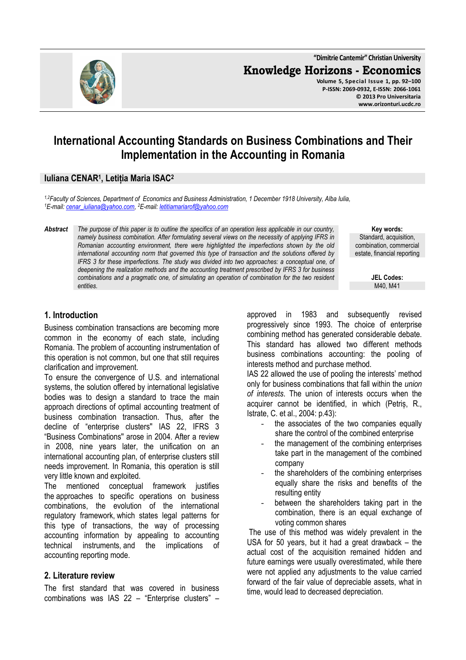

# **International Accounting Standards on Business Combinations and Their Implementation in the Accounting in Romania**

# **Iuliana CENAR<sup>1</sup> , Letiția Maria ISAC<sup>2</sup>**

*1,2Faculty of Sciences, Department of Economics and Business Administration, 1 December 1918 University, Alba Iulia, <sup>1</sup>E-mail: cenar\_iuliana@yahoo.com, <sup>2</sup>E-mail: letitiamariarof@yahoo.com* 

*Abstract The purpose of this paper is to outline the specifics of an operation less applicable in our country, namely business combination. After formulating several views on the necessity of applying IFRS in Romanian accounting environment, there were highlighted the imperfections shown by the old international accounting norm that governed this type of transaction and the solutions offered by IFRS 3 for these imperfections. The study was divided into two approaches: a conceptual one, of deepening the realization methods and the accounting treatment prescribed by IFRS 3 for business combinations and a pragmatic one, of simulating an operation of combination for the two resident entities.* 

**Key words:** Standard, acquisition, combination, commercial estate, financial reporting

> **JEL Codes:** M40, M41

# **1. Introduction**

Business combination transactions are becoming more common in the economy of each state, including Romania. The problem of accounting instrumentation of this operation is not common, but one that still requires clarification and improvement.

To ensure the convergence of U.S. and international systems, the solution offered by international legislative bodies was to design a standard to trace the main approach directions of optimal accounting treatment of business combination transaction. Thus, after the decline of "enterprise clusters'' IAS 22, IFRS 3 "Business Combinations'' arose in 2004. After a review in 2008, nine years later, the unification on an international accounting plan, of enterprise clusters still needs improvement. In Romania, this operation is still very little known and exploited.

The mentioned conceptual framework justifies the approaches to specific operations on business combinations, the evolution of the international regulatory framework, which states legal patterns for this type of transactions, the way of processing accounting information by appealing to accounting technical instruments, and the implications of accounting reporting mode.

#### **2. Literature review**

The first standard that was covered in business combinations was IAS 22 – "Enterprise clusters" – approved in 1983 and subsequently revised progressively since 1993. The choice of enterprise combining method has generated considerable debate. This standard has allowed two different methods business combinations accounting: the pooling of interests method and purchase method.

IAS 22 allowed the use of pooling the interests' method only for business combinations that fall within the *union of interests*. The union of interests occurs when the acquirer cannot be identified, in which (Petriș, R., Istrate, C. et al., 2004: p.43):

- the associates of the two companies equally share the control of the combined enterprise
- the management of the combining enterprises take part in the management of the combined company
- the shareholders of the combining enterprises equally share the risks and benefits of the resulting entity
- between the shareholders taking part in the combination, there is an equal exchange of voting common shares

 The use of this method was widely prevalent in the USA for 50 years, but it had a great drawback – the actual cost of the acquisition remained hidden and future earnings were usually overestimated, while there were not applied any adjustments to the value carried forward of the fair value of depreciable assets, what in time, would lead to decreased depreciation.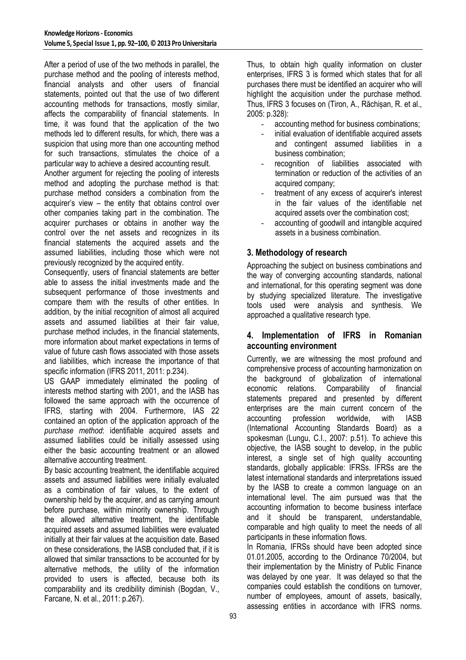After a period of use of the two methods in parallel, the purchase method and the pooling of interests method, financial analysts and other users of financial statements, pointed out that the use of two different accounting methods for transactions, mostly similar, affects the comparability of financial statements. In time, it was found that the application of the two methods led to different results, for which, there was a suspicion that using more than one accounting method for such transactions, stimulates the choice of a particular way to achieve a desired accounting result.

Another argument for rejecting the pooling of interests method and adopting the purchase method is that: purchase method considers a combination from the acquirer's view – the entity that obtains control over other companies taking part in the combination. The acquirer purchases or obtains in another way the control over the net assets and recognizes in its financial statements the acquired assets and the assumed liabilities, including those which were not previously recognized by the acquired entity.

Consequently, users of financial statements are better able to assess the initial investments made and the subsequent performance of those investments and compare them with the results of other entities. In addition, by the initial recognition of almost all acquired assets and assumed liabilities at their fair value, purchase method includes, in the financial statements, more information about market expectations in terms of value of future cash flows associated with those assets and liabilities, which increase the importance of that specific information (IFRS 2011, 2011: p.234).

US GAAP immediately eliminated the pooling of interests method starting with 2001, and the IASB has followed the same approach with the occurrence of IFRS, starting with 2004. Furthermore, IAS 22 contained an option of the application approach of the *purchase method*: identifiable acquired assets and assumed liabilities could be initially assessed using either the basic accounting treatment or an allowed alternative accounting treatment.

By basic accounting treatment, the identifiable acquired assets and assumed liabilities were initially evaluated as a combination of fair values, to the extent of ownership held by the acquirer, and as carrying amount before purchase, within minority ownership. Through the allowed alternative treatment, the identifiable acquired assets and assumed liabilities were evaluated initially at their fair values at the acquisition date. Based on these considerations, the IASB concluded that, if it is allowed that similar transactions to be accounted for by alternative methods, the utility of the information provided to users is affected, because both its comparability and its credibility diminish (Bogdan, V., Farcane, N. et al., 2011: p.267).

Thus, to obtain high quality information on cluster enterprises, IFRS 3 is formed which states that for all purchases there must be identified an acquirer who will highlight the acquisition under the purchase method. Thus, IFRS 3 focuses on (Tiron, A., Răchișan, R. et al., 2005: p.328):

- accounting method for business combinations;
- initial evaluation of identifiable acquired assets and contingent assumed liabilities in a business combination;
- recognition of liabilities associated with termination or reduction of the activities of an acquired company;
- treatment of any excess of acquirer's interest in the fair values of the identifiable net acquired assets over the combination cost;
- accounting of goodwill and intangible acquired assets in a business combination.

# **3. Methodology of research**

Approaching the subject on business combinations and the way of converging accounting standards, national and international, for this operating segment was done by studying specialized literature. The investigative tools used were analysis and synthesis. We approached a qualitative research type.

# **4. Implementation of IFRS in Romanian accounting environment**

Currently, we are witnessing the most profound and comprehensive process of accounting harmonization on the background of globalization of international economic relations. Comparability of financial statements prepared and presented by different enterprises are the main current concern of the accounting profession worldwide, with IASB (International Accounting Standards Board) as a spokesman (Lungu, C.I., 2007: p.51). To achieve this objective, the IASB sought to develop, in the public interest, a single set of high quality accounting standards, globally applicable: IFRSs. IFRSs are the latest international standards and interpretations issued by the IASB to create a common language on an international level. The aim pursued was that the accounting information to become business interface and it should be transparent, understandable, comparable and high quality to meet the needs of all participants in these information flows.

In Romania, IFRSs should have been adopted since 01.01.2005, according to the Ordinance 70/2004, but their implementation by the Ministry of Public Finance was delayed by one year. It was delayed so that the companies could establish the conditions on turnover, number of employees, amount of assets, basically, assessing entities in accordance with IFRS norms.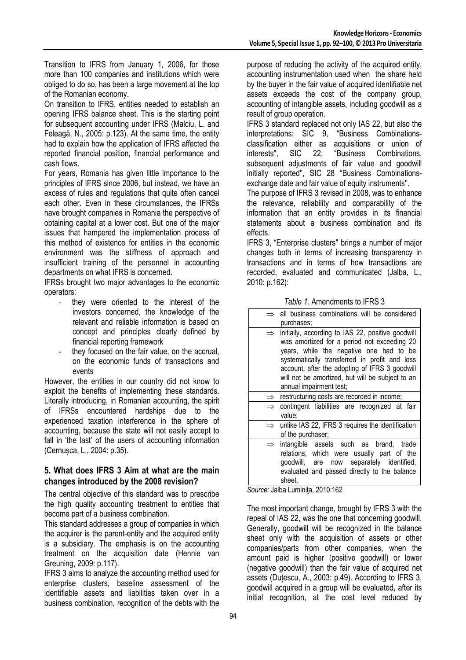Transition to IFRS from January 1, 2006, for those more than 100 companies and institutions which were obliged to do so, has been a large movement at the top of the Romanian economy.

On transition to IFRS, entities needed to establish an opening IFRS balance sheet. This is the starting point for subsequent accounting under IFRS (Malciu, L. and Feleagă, N., 2005: p.123). At the same time, the entity had to explain how the application of IFRS affected the reported financial position, financial performance and cash flows.

For years, Romania has given little importance to the principles of IFRS since 2006, but instead, we have an excess of rules and regulations that quite often cancel each other. Even in these circumstances, the IFRSs have brought companies in Romania the perspective of obtaining capital at a lower cost. But one of the major issues that hampered the implementation process of this method of existence for entities in the economic environment was the stiffness of approach and insufficient training of the personnel in accounting departments on what IFRS is concerned.

IFRSs brought two major advantages to the economic operators:

- they were oriented to the interest of the investors concerned, the knowledge of the relevant and reliable information is based on concept and principles clearly defined by financial reporting framework
- they focused on the fair value, on the accrual, on the economic funds of transactions and events

However, the entities in our country did not know to exploit the benefits of implementing these standards. Literally introducing, in Romanian accounting, the spirit of IFRSs encountered hardships due to the experienced taxation interference in the sphere of accounting, because the state will not easily accept to fall in 'the last' of the users of accounting information (Cernușca, L., 2004: p.35).

# **5. What does IFRS 3 Aim at what are the main changes introduced by the 2008 revision?**

The central objective of this standard was to prescribe the high quality accounting treatment to entities that become part of a business combination.

This standard addresses a group of companies in which the acquirer is the parent-entity and the acquired entity is a subsidiary. The emphasis is on the accounting treatment on the acquisition date (Hennie van Greuning, 2009: p.117).

IFRS 3 aims to analyze the accounting method used for enterprise clusters, baseline assessment of the identifiable assets and liabilities taken over in a business combination, recognition of the debts with the

purpose of reducing the activity of the acquired entity, accounting instrumentation used when the share held by the buyer in the fair value of acquired identifiable net assets exceeds the cost of the company group, accounting of intangible assets, including goodwill as a result of group operation.

IFRS 3 standard replaced not only IAS 22, but also the interpretations: SIC 9, "Business Combinationsclassification either as acquisitions or union of interests", SIC 22, "Business Combinations, interests'', SIC 22, "Business Combinations, subsequent adjustments of fair value and goodwill initially reported'', SIC 28 "Business Combinationsexchange date and fair value of equity instruments''.

The purpose of IFRS 3 revised in 2008, was to enhance the relevance, reliability and comparability of the information that an entity provides in its financial statements about a business combination and its effects.

IFRS 3, "Enterprise clusters'' brings a number of major changes both in terms of increasing transparency in transactions and in terms of how transactions are recorded, evaluated and communicated (Jalba, L., 2010: p.162):

*Table 1.* Amendments to IFRS 3

|               | $\Rightarrow$ all business combinations will be considered<br>purchases:                                                                                                                                                                                                                                                      |
|---------------|-------------------------------------------------------------------------------------------------------------------------------------------------------------------------------------------------------------------------------------------------------------------------------------------------------------------------------|
|               | initially, according to IAS 22, positive goodwill<br>was amortized for a period not exceeding 20<br>years, while the negative one had to be<br>systematically transferred in profit and loss<br>account, after the adopting of IFRS 3 goodwill<br>will not be amortized, but will be subject to an<br>annual impairment test; |
|               | restructuring costs are recorded in income;                                                                                                                                                                                                                                                                                   |
| $\Rightarrow$ | contingent liabilities are recognized at fair<br>value;                                                                                                                                                                                                                                                                       |
| $\Rightarrow$ | unlike IAS 22, IFRS 3 requires the identification<br>of the purchaser;                                                                                                                                                                                                                                                        |
|               | intangible assets such as brand, trade<br>relations, which were usually part of the<br>now separately identified,<br>qoodwill, are<br>evaluated and passed directly to the balance<br>sheet.                                                                                                                                  |

*Source:* Jalba Luminiţa, 2010:162

The most important change, brought by IFRS 3 with the repeal of IAS 22, was the one that concerning goodwill. Generally, goodwill will be recognized in the balance sheet only with the acquisition of assets or other companies/parts from other companies, when the amount paid is higher (positive goodwill) or lower (negative goodwill) than the fair value of acquired net assets (Duțescu, A., 2003: p.49). According to IFRS 3, goodwill acquired in a group will be evaluated, after its initial recognition, at the cost level reduced by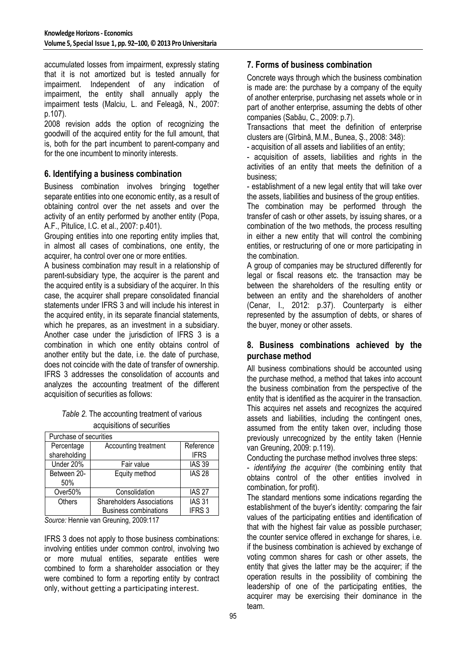accumulated losses from impairment, expressly stating that it is not amortized but is tested annually for impairment. Independent of any indication of impairment, the entity shall annually apply the impairment tests (Malciu, L. and Feleagă, N., 2007: p.107).

2008 revision adds the option of recognizing the goodwill of the acquired entity for the full amount, that is, both for the part incumbent to parent-company and for the one incumbent to minority interests.

# **6. Identifying a business combination**

Business combination involves bringing together separate entities into one economic entity, as a result of obtaining control over the net assets and over the activity of an entity performed by another entity (Popa, A.F., Pitulice, I.C. et al., 2007: p.401).

Grouping entities into one reporting entity implies that, in almost all cases of combinations, one entity, the acquirer, ha control over one or more entities.

A business combination may result in a relationship of parent-subsidiary type, the acquirer is the parent and the acquired entity is a subsidiary of the acquirer. In this case, the acquirer shall prepare consolidated financial statements under IFRS 3 and will include his interest in the acquired entity, in its separate financial statements, which he prepares, as an investment in a subsidiary. Another case under the jurisdiction of IFRS 3 is a combination in which one entity obtains control of another entity but the date, i.e. the date of purchase, does not coincide with the date of transfer of ownership. IFRS 3 addresses the consolidation of accounts and analyzes the accounting treatment of the different acquisition of securities as follows:

#### *Table 2.* The accounting treatment of various acquisitions of securities

| Purchase of securities     |                                  |                          |  |  |  |
|----------------------------|----------------------------------|--------------------------|--|--|--|
| Percentage<br>shareholding | Accounting treatment             | Reference<br><b>IFRS</b> |  |  |  |
|                            |                                  |                          |  |  |  |
| Under 20%                  | Fair value                       | <b>IAS 39</b>            |  |  |  |
| Between 20-<br>50%         | Equity method                    | <b>IAS 28</b>            |  |  |  |
| Over50%                    | Consolidation                    | <b>IAS 27</b>            |  |  |  |
| <b>Others</b>              | <b>Shareholders Associations</b> | <b>IAS 31</b>            |  |  |  |
|                            | <b>Business combinations</b>     | IFRS <sub>3</sub>        |  |  |  |

*Source:* Hennie van Greuning, 2009:117

IFRS 3 does not apply to those business combinations: involving entities under common control, involving two or more mutual entities, separate entities were combined to form a shareholder association or they were combined to form a reporting entity by contract only, without getting a participating interest.

# **7. Forms of business combination**

Concrete ways through which the business combination is made are: the purchase by a company of the equity of another enterprise, purchasing net assets whole or in part of another enterprise, assuming the debts of other companies (Sabău, C., 2009: p.7).

Transactions that meet the definition of enterprise clusters are (Gîrbină, M.M., Bunea, Ș., 2008: 348):

- acquisition of all assets and liabilities of an entity;

- acquisition of assets, liabilities and rights in the activities of an entity that meets the definition of a business;

- establishment of a new legal entity that will take over the assets, liabilities and business of the group entities.

The combination may be performed through the transfer of cash or other assets, by issuing shares, or a combination of the two methods, the process resulting in either a new entity that will control the combining entities, or restructuring of one or more participating in the combination.

A group of companies may be structured differently for legal or fiscal reasons etc. the transaction may be between the shareholders of the resulting entity or between an entity and the shareholders of another (Cenar, I., 2012: p.37). Counterparty is either represented by the assumption of debts, or shares of the buyer, money or other assets.

# **8. Business combinations achieved by the purchase method**

All business combinations should be accounted using the purchase method, a method that takes into account the business combination from the perspective of the entity that is identified as the acquirer in the transaction. This acquires net assets and recognizes the acquired assets and liabilities, including the contingent ones, assumed from the entity taken over, including those previously unrecognized by the entity taken (Hennie van Greuning, 2009: p.119).

Conducting the purchase method involves three steps:

- *identifying the acquirer* (the combining entity that obtains control of the other entities involved in combination, for profit).

The standard mentions some indications regarding the establishment of the buyer's identity: comparing the fair values of the participating entities and identification of that with the highest fair value as possible purchaser; the counter service offered in exchange for shares, i.e. if the business combination is achieved by exchange of voting common shares for cash or other assets, the entity that gives the latter may be the acquirer; if the operation results in the possibility of combining the leadership of one of the participating entities, the acquirer may be exercising their dominance in the team.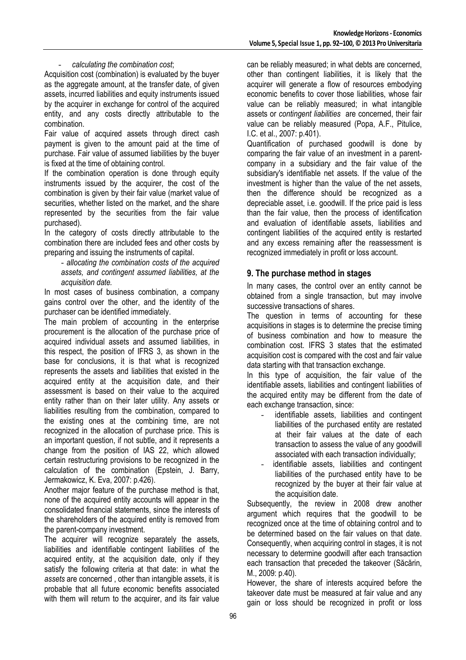#### - *calculating the combination cost*;

Acquisition cost (combination) is evaluated by the buyer as the aggregate amount, at the transfer date, of given assets, incurred liabilities and equity instruments issued by the acquirer in exchange for control of the acquired entity, and any costs directly attributable to the combination.

Fair value of acquired assets through direct cash payment is given to the amount paid at the time of purchase. Fair value of assumed liabilities by the buyer is fixed at the time of obtaining control.

If the combination operation is done through equity instruments issued by the acquirer, the cost of the combination is given by their fair value (market value of securities, whether listed on the market, and the share represented by the securities from the fair value purchased).

In the category of costs directly attributable to the combination there are included fees and other costs by preparing and issuing the instruments of capital.

- *allocating the combination costs of the acquired assets, and contingent assumed liabilities, at the acquisition date.* 

In most cases of business combination, a company gains control over the other, and the identity of the purchaser can be identified immediately.

The main problem of accounting in the enterprise procurement is the allocation of the purchase price of acquired individual assets and assumed liabilities, in this respect, the position of IFRS 3, as shown in the base for conclusions, it is that what is recognized represents the assets and liabilities that existed in the acquired entity at the acquisition date, and their assessment is based on their value to the acquired entity rather than on their later utility. Any assets or liabilities resulting from the combination, compared to the existing ones at the combining time, are not recognized in the allocation of purchase price. This is an important question, if not subtle, and it represents a change from the position of IAS 22, which allowed certain restructuring provisions to be recognized in the calculation of the combination (Epstein, J. Barry, Jermakowicz, K. Eva, 2007: p.426).

Another major feature of the purchase method is that, none of the acquired entity accounts will appear in the consolidated financial statements, since the interests of the shareholders of the acquired entity is removed from the parent-company investment.

The acquirer will recognize separately the assets, liabilities and identifiable contingent liabilities of the acquired entity, at the acquisition date, only if they satisfy the following criteria at that date: in what the *assets* are concerned , other than intangible assets, it is probable that all future economic benefits associated with them will return to the acquirer, and its fair value

can be reliably measured; in what debts are concerned, other than contingent liabilities, it is likely that the acquirer will generate a flow of resources embodying economic benefits to cover those liabilities, whose fair value can be reliably measured; in what intangible assets or *contingent liabilities* are concerned, their fair value can be reliably measured (Popa, A.F., Pitulice, I.C. et al., 2007: p.401).

Quantification of purchased goodwill is done by comparing the fair value of an investment in a parentcompany in a subsidiary and the fair value of the subsidiary's identifiable net assets. If the value of the investment is higher than the value of the net assets, then the difference should be recognized as a depreciable asset, i.e. goodwill. If the price paid is less than the fair value, then the process of identification and evaluation of identifiable assets, liabilities and contingent liabilities of the acquired entity is restarted and any excess remaining after the reassessment is recognized immediately in profit or loss account.

# **9. The purchase method in stages**

In many cases, the control over an entity cannot be obtained from a single transaction, but may involve successive transactions of shares.

The question in terms of accounting for these acquisitions in stages is to determine the precise timing of business combination and how to measure the combination cost. IFRS 3 states that the estimated acquisition cost is compared with the cost and fair value data starting with that transaction exchange.

In this type of acquisition, the fair value of the identifiable assets, liabilities and contingent liabilities of the acquired entity may be different from the date of each exchange transaction, since:

- identifiable assets, liabilities and contingent liabilities of the purchased entity are restated at their fair values at the date of each transaction to assess the value of any goodwill associated with each transaction individually;
- identifiable assets, liabilities and contingent liabilities of the purchased entity have to be recognized by the buyer at their fair value at the acquisition date.

Subsequently, the review in 2008 drew another argument which requires that the goodwill to be recognized once at the time of obtaining control and to be determined based on the fair values on that date. Consequently, when acquiring control in stages, it is not necessary to determine goodwill after each transaction each transaction that preceded the takeover (Săcărin, M., 2009: p.40).

However, the share of interests acquired before the takeover date must be measured at fair value and any gain or loss should be recognized in profit or loss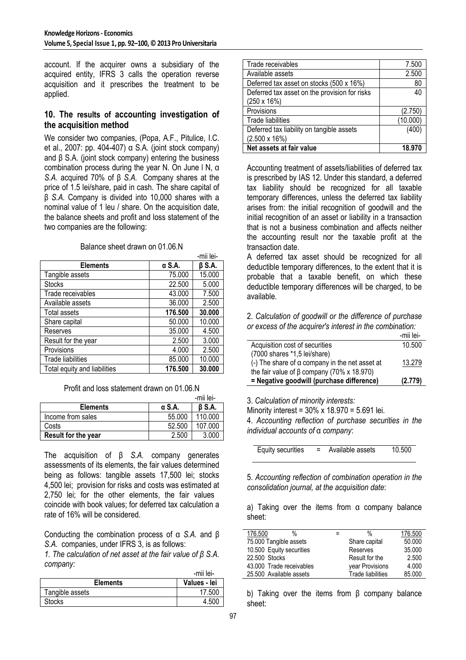account. If the acquirer owns a subsidiary of the acquired entity, IFRS 3 calls the operation reverse acquisition and it prescribes the treatment to be applied.

### **10. The results of accounting investigation of the acquisition method**

We consider two companies, (Popa, A.F., Pitulice, I.C. et al., 2007: pp. 404-407) α S.A. (joint stock company) and  $\beta$  S.A. (joint stock company) entering the business combination process during the year N. On June l N, α *S.A.* acquired 70% of β *S.A.* Company shares at the price of 1.5 lei/share, paid in cash. The share capital of β *S.A.* Company is divided into 10,000 shares with a nominal value of 1 leu / share. On the acquisition date, the balance sheets and profit and loss statement of the two companies are the following:

|                              |         | -mii lei-    |
|------------------------------|---------|--------------|
| <b>Elements</b>              | α S.A.  | $\beta$ S.A. |
| Tangible assets              | 75.000  | 15.000       |
| <b>Stocks</b>                | 22.500  | 5.000        |
| Trade receivables            | 43.000  | 7.500        |
| Available assets             | 36.000  | 2.500        |
| Total assets                 | 176.500 | 30.000       |
| Share capital                | 50.000  | 10.000       |
| Reserves                     | 35.000  | 4.500        |
| Result for the year          | 2.500   | 3.000        |
| Provisions                   | 4.000   | 2.500        |
| Trade liabilities            | 85.000  | 10.000       |
| Total equity and liabilities | 176.500 | 30.000       |

Balance sheet drawn on 01.06.N

Profit and loss statement drawn on 01.06.N

|                     |        | -mii lei-     |
|---------------------|--------|---------------|
| <b>Elements</b>     | α S.A. | <b>B S.A.</b> |
| Income from sales   | 55.000 | 110.000       |
| Costs               | 52.500 | 107.000       |
| Result for the year | 2.500  | 3.000         |

The acquisition of β *S.A.* company generates assessments of its elements, the fair values determined being as follows: tangible assets 17,500 lei; stocks 4,500 lei; provision for risks and costs was estimated at 2,750 lei; for the other elements, the fair values coincide with book values; for deferred tax calculation a rate of 16% will be considered.

Conducting the combination process of α *S.A.* and β *S.A.* companies, under IFRS 3, is as follows:

*1. The calculation of net asset at the fair value of β S.A. company:* 

|                 | -mii lei-    |
|-----------------|--------------|
| <b>Elements</b> | Values - lei |
| Tangible assets | 17.500       |
| <b>Stocks</b>   | 4.500        |

| Trade receivables                             | 7.500    |
|-----------------------------------------------|----------|
| Available assets                              | 2.500    |
| Deferred tax asset on stocks (500 x 16%)      | 80       |
| Deferred tax asset on the provision for risks | 40       |
| $(250 \times 16\%)$                           |          |
| Provisions                                    | (2.750)  |
| <b>Trade liabilities</b>                      | (10.000) |
| Deferred tax liability on tangible assets     | (400)    |
| $(2.500 \times 16\%)$                         |          |
| Net assets at fair value                      | 18.970   |

Accounting treatment of assets/liabilities of deferred tax is prescribed by IAS 12. Under this standard, a deferred tax liability should be recognized for all taxable temporary differences, unless the deferred tax liability arises from: the initial recognition of goodwill and the initial recognition of an asset or liability in a transaction that is not a business combination and affects neither the accounting result nor the taxable profit at the transaction date.

A deferred tax asset should be recognized for all deductible temporary differences, to the extent that it is probable that a taxable benefit, on which these deductible temporary differences will be charged, to be available.

2. *Calculation of goodwill or the difference of purchase or excess of the acquirer's interest in the combination:* 

|                                                       | -mii lei- |
|-------------------------------------------------------|-----------|
| Acquisition cost of securities                        | 10.500    |
| (7000 shares *1,5 lei/share)                          |           |
| (-) The share of $\alpha$ company in the net asset at | 13.279    |
| the fair value of β company (70% x 18.970)            |           |
| = Negative goodwill (purchase difference)             | (2.779)   |

3. *Calculation of minority interests:* 

Minority interest = 30% x 18.970 = 5.691 lei.

4. *Accounting reflection of purchase securities in the individual accounts of* α *company*:

Equity securities = Available assets 10.500

5. *Accounting reflection of combination operation in the consolidation journal, at the acquisition date*:

a) Taking over the items from α company balance sheet:

| 176.500<br>%             | = | %                        | 176.500 |
|--------------------------|---|--------------------------|---------|
| 75.000 Tangible assets   |   | Share capital            | 50.000  |
| 10.500 Equity securities |   | Reserves                 | 35.000  |
| 22,500 Stocks            |   | Result for the           | 2.500   |
| 43.000 Trade receivables |   | year Provisions          | 4.000   |
| 25.500 Available assets  |   | <b>Trade liabilities</b> | 85.000  |
|                          |   |                          |         |

b) Taking over the items from β company balance sheet: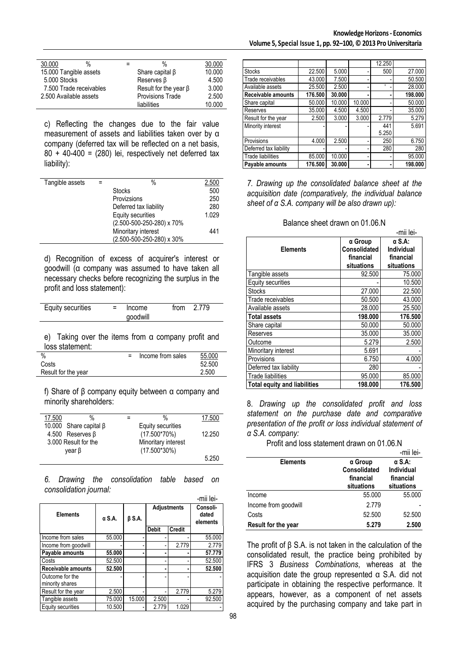| 30,000<br>%             | %                           | 30.000 |
|-------------------------|-----------------------------|--------|
| 15.000 Tangible assets  | Share capital $\beta$       | 10.000 |
| 5.000 Stocks            | Reserves <sub>B</sub>       | 4.500  |
| 7.500 Trade receivables | Result for the year $\beta$ | 3.000  |
| 2.500 Available assets  | <b>Provisions Trade</b>     | 2.500  |
|                         | liabilities                 | 10.000 |

c) Reflecting the changes due to the fair value measurement of assets and liabilities taken over by α company (deferred tax will be reflected on a net basis,  $80 + 40 - 400 = (280)$  lei, respectively net deferred tax liability):

| Tangible assets | $\%$                      | 2.500 |
|-----------------|---------------------------|-------|
|                 | <b>Stocks</b>             | 500   |
|                 | Provizsions               | 250   |
|                 | Deferred tax liability    | 280   |
|                 | Equity securities         | 1.029 |
|                 | (2.500-500-250-280) x 70% |       |
|                 | Minoritary interest       | 441   |
|                 | (2.500-500-250-280) x 30% |       |

d) Recognition of excess of acquirer's interest or goodwill (α company was assumed to have taken all necessary checks before recognizing the surplus in the profit and loss statement):

| Equity securities | $=$ | Income   | from $2.779$ |  |
|-------------------|-----|----------|--------------|--|
|                   |     | goodwill |              |  |
|                   |     |          |              |  |

e) Taking over the items from α company profit and loss statement:

| %                   | Income from sales | 55,000 |
|---------------------|-------------------|--------|
| Costs               |                   | 52.500 |
| Result for the year |                   | 2.500  |

f) Share of β company equity between α company and minority shareholders:

| %<br>17.500                  | %                   | 17.500 |
|------------------------------|---------------------|--------|
| 10.000 Share capital $\beta$ | Equity securities   |        |
| 4.500 Reserves $\beta$       | $(17.500*70%)$      | 12.250 |
| 3.000 Result for the         | Minoritary interest |        |
| year β                       | $(17.500*30%)$      |        |
|                              |                     | 5.250  |
|                              |                     |        |

*6. Drawing the consolidation table based on consolidation journal:*

|                                    |               |              |                    |               | -mii lei-                     |
|------------------------------------|---------------|--------------|--------------------|---------------|-------------------------------|
| <b>Elements</b>                    | $\alpha$ S.A. | $\beta$ S.A. | <b>Adjustments</b> |               | Consoli-<br>dated<br>elements |
|                                    |               |              | <b>Debit</b>       | <b>Credit</b> |                               |
| Income from sales                  | 55.000        |              |                    |               | 55.000                        |
| Income from goodwill               |               |              |                    | 2.779         | 2.779                         |
| Payable amounts                    | 55,000        |              |                    |               | 57.779                        |
| Costs                              | 52.500        |              |                    |               | 52.500                        |
| <b>Receivable amounts</b>          | 52.500        |              |                    |               | 52.500                        |
| Outcome for the<br>minority shares |               |              |                    |               |                               |
| Result for the year                | 2.500         |              |                    | 2.779         | 5.279                         |
| Tangible assets                    | 75.000        | 15.000       | 2.500              |               | 92.500                        |
| Equity securities                  | 10.500        |              | 2.779              | 1.029         |                               |

|                          |         |        |        | 12.250 |         |
|--------------------------|---------|--------|--------|--------|---------|
| <b>Stocks</b>            | 22.500  | 5.000  |        | 500    | 27.000  |
| Trade receivables        | 43.000  | 7.500  |        |        | 50.500  |
| Available assets         | 25.500  | 2.500  |        |        | 28.000  |
| Receivable amounts       | 176.500 | 30.000 | ٠      |        | 198.000 |
| Share capital            | 50.000  | 10.000 | 10.000 |        | 50.000  |
| Reserves                 | 35.000  | 4.500  | 4.500  |        | 35.000  |
| Result for the year      | 2.500   | 3.000  | 3.000  | 2.779  | 5.279   |
| Minority interest        |         |        |        | 441    | 5.691   |
|                          |         |        |        | 5.250  |         |
| Provisions               | 4.000   | 2.500  |        | 250    | 6.750   |
| Deferred tax liability   |         |        |        | 280    | 280     |
| <b>Trade liabilities</b> | 85.000  | 10.000 | -      |        | 95.000  |
| Pavable amounts          | 176.500 | 30.000 | ٠      |        | 198.000 |

*7. Drawing up the consolidated balance sheet at the acquisition date (comparatively, the individual balance sheet of α S.A. company will be also drawn up):* 

| Balance sheet drawn on 01.06.N |  |  |
|--------------------------------|--|--|
|--------------------------------|--|--|

|                                     |              | -mii lei-  |
|-------------------------------------|--------------|------------|
|                                     | α Group      | α S.A:     |
| <b>Elements</b>                     | Consolidated | Individual |
|                                     | financial    | financial  |
|                                     | situations   | situations |
| Tangible assets                     | 92.500       | 75.000     |
| Equity securities                   |              | 10.500     |
| <b>Stocks</b>                       | 27,000       | 22.500     |
| Trade receivables                   | 50.500       | 43.000     |
| Available assets                    | 28,000       | 25.500     |
| <b>Total assets</b>                 | 198.000      | 176.500    |
| Share capital                       | 50.000       | 50.000     |
| Reserves                            | 35,000       | 35.000     |
| Outcome                             | 5.279        | 2.500      |
| Minoritary interest                 | 5.691        |            |
| Provisions                          | 6.750        | 4.000      |
| Deferred tax liability              | 280          |            |
| <b>Trade liabilities</b>            | 95.000       | 85.000     |
| <b>Total equity and liabilities</b> | 198.000      | 176.500    |

8. *Drawing up the consolidated profit and loss statement on the purchase date and comparative presentation of the profit or loss individual statement of α S.A. company:* 

Profit and loss statement drawn on 01.06.N

|                      |                                                    | -mii lei-                                              |
|----------------------|----------------------------------------------------|--------------------------------------------------------|
| <b>Elements</b>      | α Group<br>Consolidated<br>financial<br>situations | $\alpha$ S.A:<br>Individual<br>financial<br>situations |
| Income               | 55.000                                             | 55.000                                                 |
| Income from goodwill | 2.779                                              |                                                        |
| Costs                | 52.500                                             | 52.500                                                 |
| Result for the year  | 5.279                                              | 2.500                                                  |

The profit of β S.A. is not taken in the calculation of the consolidated result, the practice being prohibited by IFRS 3 *Business Combinations*, whereas at the acquisition date the group represented α S.A. did not participate in obtaining the respective performance. It appears, however, as a component of net assets acquired by the purchasing company and take part in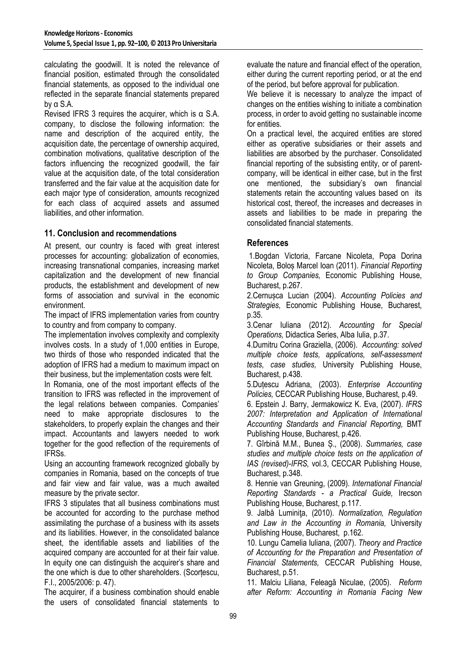calculating the goodwill. It is noted the relevance of financial position, estimated through the consolidated financial statements, as opposed to the individual one reflected in the separate financial statements prepared by α S.A.

Revised IFRS 3 requires the acquirer, which is α S.A. company, to disclose the following information: the name and description of the acquired entity, the acquisition date, the percentage of ownership acquired, combination motivations, qualitative description of the factors influencing the recognized goodwill, the fair value at the acquisition date, of the total consideration transferred and the fair value at the acquisition date for each major type of consideration, amounts recognized for each class of acquired assets and assumed liabilities, and other information.

# **11. Conclusion and recommendations**

At present, our country is faced with great interest processes for accounting: globalization of economies, increasing transnational companies, increasing market capitalization and the development of new financial products, the establishment and development of new forms of association and survival in the economic environment.

The impact of IFRS implementation varies from country to country and from company to company.

The implementation involves complexity and complexity involves costs. In a study of 1,000 entities in Europe, two thirds of those who responded indicated that the adoption of IFRS had a medium to maximum impact on their business, but the implementation costs were felt.

In Romania, one of the most important effects of the transition to IFRS was reflected in the improvement of the legal relations between companies. Companies' need to make appropriate disclosures to the stakeholders, to properly explain the changes and their impact. Accountants and lawyers needed to work together for the good reflection of the requirements of IFRSs.

Using an accounting framework recognized globally by companies in Romania, based on the concepts of true and fair view and fair value, was a much awaited measure by the private sector.

IFRS 3 stipulates that all business combinations must be accounted for according to the purchase method assimilating the purchase of a business with its assets and its liabilities. However, in the consolidated balance sheet, the identifiable assets and liabilities of the acquired company are accounted for at their fair value. In equity one can distinguish the acquirer's share and the one which is due to other shareholders. (Scorțescu, F.I., 2005/2006: p. 47).

The acquirer, if a business combination should enable the users of consolidated financial statements to evaluate the nature and financial effect of the operation, either during the current reporting period, or at the end of the period, but before approval for publication.

We believe it is necessary to analyze the impact of changes on the entities wishing to initiate a combination process, in order to avoid getting no sustainable income for entities.

On a practical level, the acquired entities are stored either as operative subsidiaries or their assets and liabilities are absorbed by the purchaser. Consolidated financial reporting of the subsisting entity, or of parentcompany, will be identical in either case, but in the first one mentioned, the subsidiary's own financial statements retain the accounting values based on its historical cost, thereof, the increases and decreases in assets and liabilities to be made in preparing the consolidated financial statements.

# **References**

 1.Bogdan Victoria, Farcane Nicoleta, Popa Dorina Nicoleta, Boloș Marcel Ioan (2011). *Financial Reporting to Group Companies,* Economic Publishing House, Bucharest, p.267.

2.Cernușca Lucian (2004). *Accounting Policies and Strategies,* Economic Publishing House, Bucharest, p.35.

3.Cenar Iuliana (2012). *Accounting for Special Operations,* Didactica Series, Alba Iulia, p.37.

4.Dumitru Corina Graziella, (2006). *Accounting: solved multiple choice tests, applications, self-assessment tests, case studies,* University Publishing House, Bucharest, p.438.

5.Duțescu Adriana, (2003). *Enterprise Accounting Policies,* CECCAR Publishing House, Bucharest, p.49.

6. Epstein J. Barry, Jermakowicz K. Eva, (2007). *IFRS 2007: Interpretation and Application of International Accounting Standards and Financial Reporting,* BMT Publishing House, Bucharest, p.426.

7. Gîrbină M.M., Bunea Ș., (2008). *Summaries, case studies and multiple choice tests on the application of IAS (revised)-IFRS,* vol.3, CECCAR Publishing House, Bucharest, p.348.

8. Hennie van Greuning, (2009). *International Financial Reporting Standards - a Practical Guide,* Irecson Publishing House, Bucharest, p.117.

9. Jalbă Luminiţa, (2010). *Normalization, Regulation and Law in the Accounting in Romania,* University Publishing House, Bucharest, p.162.

10. Lungu Camelia Iuliana, (2007). *Theory and Practice of Accounting for the Preparation and Presentation of Financial Statements,* CECCAR Publishing House, Bucharest, p.51.

11. Malciu Liliana, Feleagă Niculae, (2005). *Reform after Reform: Accounting in Romania Facing New*